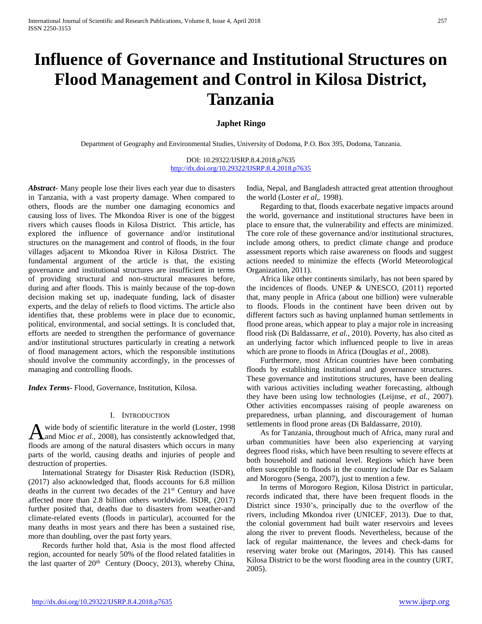# **Influence of Governance and Institutional Structures on Flood Management and Control in Kilosa District, Tanzania**

# **Japhet Ringo**

Department of Geography and Environmental Studies, University of Dodoma, P.O. Box 395, Dodoma, Tanzania.

DOI: 10.29322/IJSRP.8.4.2018.p7635 <http://dx.doi.org/10.29322/IJSRP.8.4.2018.p7635>

*Abstract***-** Many people lose their lives each year due to disasters in Tanzania, with a vast property damage. When compared to others, floods are the number one damaging economics and causing loss of lives. The Mkondoa River is one of the biggest rivers which causes floods in Kilosa District. This article, has explored the influence of governance and/or institutional structures on the management and control of floods, in the four villages adjacent to Mkondoa River in Kilosa District. The fundamental argument of the article is that, the existing governance and institutional structures are insufficient in terms of providing structural and non-structural measures before, during and after floods. This is mainly because of the top-down decision making set up, inadequate funding, lack of disaster experts, and the delay of reliefs to flood victims. The article also identifies that, these problems were in place due to economic, political, environmental, and social settings. It is concluded that, efforts are needed to strengthen the performance of governance and/or institutional structures particularly in creating a network of flood management actors, which the responsible institutions should involve the community accordingly, in the processes of managing and controlling floods.

*Index Terms*- Flood, Governance, Institution, Kilosa.

#### I. INTRODUCTION

wide body of scientific literature in the world (Loster, 1998 and Mioc *et al.,* 2008), has consistently acknowledged that, A wide body of scientific literature in the world (Loster, 1998) and Mioc *et al.*, 2008), has consistently acknowledged that, floods are among of the natural disasters which occurs in many parts of the world, causing deaths and injuries of people and destruction of properties.

 International Strategy for Disaster Risk Reduction (ISDR), (2017) also acknowledged that, floods accounts for 6.8 million deaths in the current two decades of the 21st Century and have affected more than 2.8 billion others worldwide. ISDR, (2017) further posited that, deaths due to disasters from weather-and climate-related events (floods in particular), accounted for the many deaths in most years and there has been a sustained rise, more than doubling, over the past forty years.

 Records further hold that, Asia is the most flood affected region, accounted for nearly 50% of the flood related fatalities in the last quarter of  $20<sup>th</sup>$  Century (Doocy, 2013), whereby China, India, Nepal, and Bangladesh attracted great attention throughout the world (Loster *et al,.* 1998).

 Regarding to that, floods exacerbate negative impacts around the world, governance and institutional structures have been in place to ensure that, the vulnerability and effects are minimized. The core role of these governance and/or institutional structures, include among others, to predict climate change and produce assessment reports which raise awareness on floods and suggest actions needed to minimize the effects (World Meteorological Organization, 2011).

 Africa like other continents similarly, has not been spared by the incidences of floods. UNEP & UNESCO, (2011) reported that, many people in Africa (about one billion) were vulnerable to floods. Floods in the continent have been driven out by different factors such as having unplanned human settlements in flood prone areas, which appear to play a major role in increasing flood risk (Di Baldassarre, *et al.,* 2010). Poverty, has also cited as an underlying factor which influenced people to live in areas which are prone to floods in Africa (Douglas *et al.,* 2008).

 Furthermore, most African countries have been combating floods by establishing institutional and governance structures. These governance and institutions structures, have been dealing with various activities including weather forecasting, although they have been using low technologies (Leijnse, *et al.,* 2007). Other activities encompasses raising of people awareness on preparedness, urban planning, and discouragement of human settlements in flood prone areas (Di Baldassarre, 2010).

 As for Tanzania, throughout much of Africa, many rural and urban communities have been also experiencing at varying degrees flood risks, which have been resulting to severe effects at both household and national level. Regions which have been often susceptible to floods in the country include Dar es Salaam and Morogoro (Senga, 2007), just to mention a few.

 In terms of Morogoro Region, Kilosa District in particular, records indicated that, there have been frequent floods in the District since 1930's, principally due to the overflow of the rivers, including Mkondoa river (UNICEF, 2013). Due to that, the colonial government had built water reservoirs and levees along the river to prevent floods. Nevertheless, because of the lack of regular maintenance, the levees and check-dams for reserving water broke out (Maringos, 2014). This has caused Kilosa District to be the worst flooding area in the country (URT, 2005).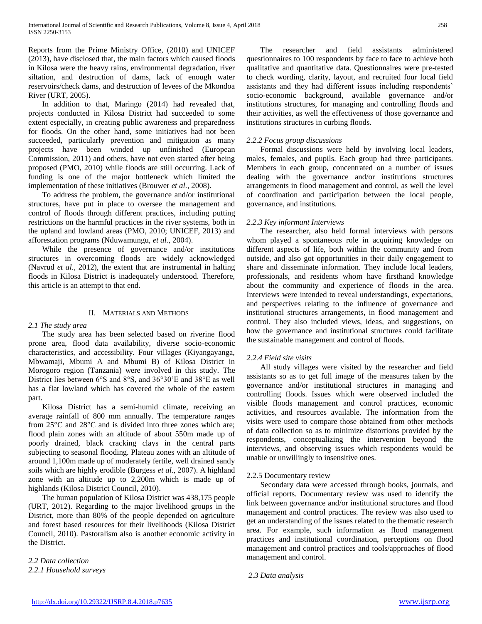Reports from the Prime Ministry Office, (2010) and UNICEF (2013), have disclosed that, the main factors which caused floods in Kilosa were the heavy rains, environmental degradation, river siltation, and destruction of dams, lack of enough water reservoirs/check dams, and destruction of levees of the Mkondoa River (URT, 2005).

 In addition to that, Maringo (2014) had revealed that, projects conducted in Kilosa District had succeeded to some extent especially, in creating public awareness and preparedness for floods. On the other hand, some initiatives had not been succeeded, particularly prevention and mitigation as many projects have been winded up unfinished (European Commission, 2011) and others, have not even started after being proposed (PMO, 2010) while floods are still occurring. Lack of funding is one of the major bottleneck which limited the implementation of these initiatives (Brouwer *et al.,* 2008).

 To address the problem, the governance and/or institutional structures, have put in place to oversee the management and control of floods through different practices, including putting restrictions on the harmful practices in the river systems, both in the upland and lowland areas (PMO, 2010; UNICEF, 2013) and afforestation programs (Nduwamungu, *et al.,* 2004).

 While the presence of governance and/or institutions structures in overcoming floods are widely acknowledged (Navrud *et al.,* 2012), the extent that are instrumental in halting floods in Kilosa District is inadequately understood. Therefore, this article is an attempt to that end.

## II. MATERIALS AND METHODS

# *2.1 The study area*

 The study area has been selected based on riverine flood prone area, flood data availability, diverse socio-economic characteristics, and accessibility. Four villages (Kiyangayanga, Mbwamaji, Mbumi A and Mbumi B) of Kilosa District in Morogoro region (Tanzania) were involved in this study. The District lies between 6°S and 8°S, and 36°30'E and 38°E as well has a flat lowland which has covered the whole of the eastern part.

 Kilosa District has a semi-humid climate, receiving an average rainfall of 800 mm annually. The temperature ranges from 25°C and 28°C and is divided into three zones which are; flood plain zones with an altitude of about 550m made up of poorly drained, black cracking clays in the central parts subjecting to seasonal flooding. Plateau zones with an altitude of around 1,100m made up of moderately fertile, well drained sandy soils which are highly erodible (Burgess *et al.,* 2007). A highland zone with an altitude up to 2,200m which is made up of highlands (Kilosa District Council, 2010).

 The human population of Kilosa District was 438,175 people (URT, 2012). Regarding to the major livelihood groups in the District, more than 80% of the people depended on agriculture and forest based resources for their livelihoods (Kilosa District Council, 2010). Pastoralism also is another economic activity in the District.

*2.2 Data collection 2.2.1 Household surveys*

 The researcher and field assistants administered questionnaires to 100 respondents by face to face to achieve both qualitative and quantitative data. Questionnaires were pre-tested to check wording, clarity, layout, and recruited four local field assistants and they had different issues including respondents' socio-economic background, available governance and/or institutions structures, for managing and controlling floods and their activities, as well the effectiveness of those governance and institutions structures in curbing floods.

## *2.2.2 Focus group discussions*

 Formal discussions were held by involving local leaders, males, females, and pupils. Each group had three participants. Members in each group, concentrated on a number of issues dealing with the governance and/or institutions structures arrangements in flood management and control, as well the level of coordination and participation between the local people, governance, and institutions.

## *2.2.3 Key informant Interviews*

 The researcher, also held formal interviews with persons whom played a spontaneous role in acquiring knowledge on different aspects of life, both within the community and from outside, and also got opportunities in their daily engagement to share and disseminate information. They include local leaders, professionals, and residents whom have firsthand knowledge about the community and experience of floods in the area. Interviews were intended to reveal understandings, expectations, and perspectives relating to the influence of governance and institutional structures arrangements, in flood management and control. They also included views, ideas, and suggestions, on how the governance and institutional structures could facilitate the sustainable management and control of floods.

## *2.2.4 Field site visits*

 All study villages were visited by the researcher and field assistants so as to get full image of the measures taken by the governance and/or institutional structures in managing and controlling floods. Issues which were observed included the visible floods management and control practices, economic activities, and resources available. The information from the visits were used to compare those obtained from other methods of data collection so as to minimize distortions provided by the respondents, conceptualizing the intervention beyond the interviews, and observing issues which respondents would be unable or unwillingly to insensitive ones.

#### 2.2.5 Documentary review

 Secondary data were accessed through books, journals, and official reports. Documentary review was used to identify the link between governance and/or institutional structures and flood management and control practices. The review was also used to get an understanding of the issues related to the thematic research area. For example, such information as flood management practices and institutional coordination, perceptions on flood management and control practices and tools/approaches of flood management and control.

*2.3 Data analysis*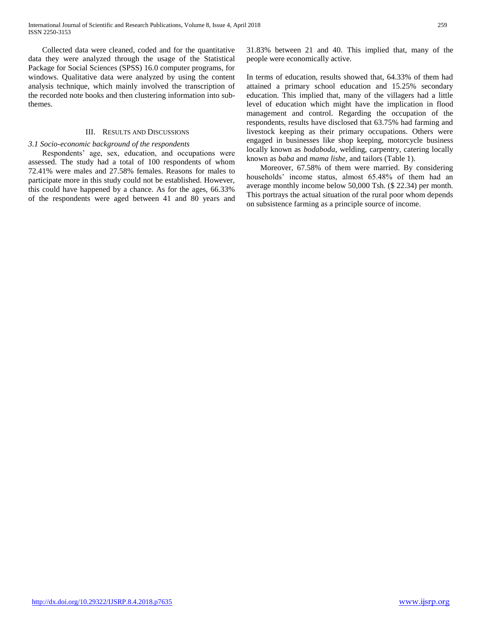Collected data were cleaned, coded and for the quantitative data they were analyzed through the usage of the Statistical Package for Social Sciences (SPSS) 16.0 computer programs, for windows. Qualitative data were analyzed by using the content analysis technique, which mainly involved the transcription of the recorded note books and then clustering information into subthemes.

#### III. RESULTS AND DISCUSSIONS

#### *3.1 Socio-economic background of the respondents*

 Respondents' age, sex, education, and occupations were assessed. The study had a total of 100 respondents of whom 72.41% were males and 27.58% females. Reasons for males to participate more in this study could not be established. However, this could have happened by a chance. As for the ages, 66.33% of the respondents were aged between 41 and 80 years and 31.83% between 21 and 40. This implied that, many of the people were economically active.

In terms of education, results showed that, 64.33% of them had attained a primary school education and 15.25% secondary education. This implied that, many of the villagers had a little level of education which might have the implication in flood management and control. Regarding the occupation of the respondents, results have disclosed that 63.75% had farming and livestock keeping as their primary occupations. Others were engaged in businesses like shop keeping, motorcycle business locally known as *bodaboda*, welding, carpentry, catering locally known as *baba* and *mama lishe*, and tailors (Table 1).

 Moreover, 67.58% of them were married. By considering households' income status, almost 65.48% of them had an average monthly income below 50,000 Tsh. (\$ 22.34) per month. This portrays the actual situation of the rural poor whom depends on subsistence farming as a principle source of income.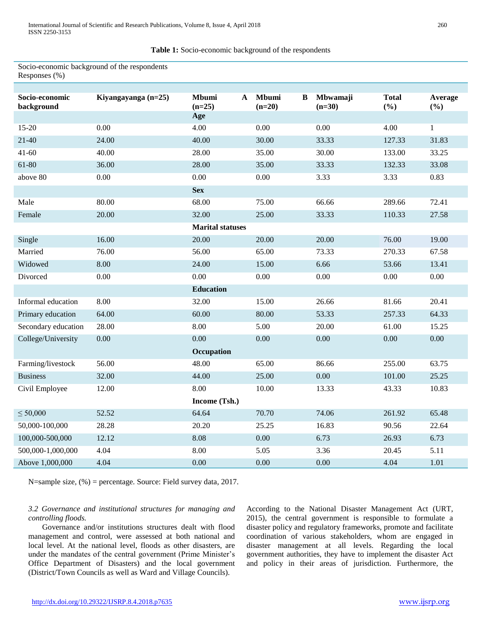**Table 1:** Socio-economic background of the respondents

Socio-economic background of the respondents Responses (%)

| Socio-economic<br>background | Kiyangayanga (n=25) | <b>Mbumi</b><br>$\mathbf{A}$<br>$(n=25)$ | Mbumi<br>B<br>$(n=20)$ | Mbwamaji<br>$(n=30)$ | <b>Total</b><br>(%) | Average<br>$(\%)$ |  |  |
|------------------------------|---------------------|------------------------------------------|------------------------|----------------------|---------------------|-------------------|--|--|
|                              |                     | Age                                      |                        |                      |                     |                   |  |  |
| 15-20                        | 0.00                | 4.00                                     | 0.00                   | 0.00                 | 4.00                | $\mathbf{1}$      |  |  |
| $21-40$                      | 24.00               | 40.00                                    | 30.00                  | 33.33                | 127.33              | 31.83             |  |  |
| $41 - 60$                    | 40.00               | 28.00                                    | 35.00                  | 30.00                | 133.00              | 33.25             |  |  |
| 61-80                        | 36.00               | 28.00                                    | 35.00                  | 33.33                | 132.33              | 33.08             |  |  |
| above 80                     | 0.00                | 0.00                                     | 0.00                   | 3.33                 | 3.33                | 0.83              |  |  |
|                              |                     | <b>Sex</b>                               |                        |                      |                     |                   |  |  |
| Male                         | 80.00               | 68.00                                    | 75.00                  | 66.66                | 289.66              | 72.41             |  |  |
| Female                       | 20.00               | 32.00                                    | 25.00                  | 33.33                | 110.33              | 27.58             |  |  |
|                              |                     | <b>Marital statuses</b>                  |                        |                      |                     |                   |  |  |
| Single                       | 16.00               | 20.00                                    | 20.00                  | 20.00                | 76.00               | 19.00             |  |  |
| Married                      | 76.00               | 56.00                                    | 65.00                  | 73.33                | 270.33              | 67.58             |  |  |
| Widowed                      | 8.00                | 24.00                                    | 15.00                  | 6.66                 | 53.66               | 13.41             |  |  |
| Divorced                     | 0.00                | 0.00                                     | 0.00                   | 0.00                 | 0.00                | 0.00              |  |  |
|                              |                     | <b>Education</b>                         |                        |                      |                     |                   |  |  |
| Informal education           | 8.00                | 32.00                                    | 15.00                  | 26.66                | 81.66               | 20.41             |  |  |
| Primary education            | 64.00               | 60.00                                    | 80.00                  | 53.33                | 257.33              | 64.33             |  |  |
| Secondary education          | 28.00               | 8.00                                     | 5.00                   | 20.00                | 61.00               | 15.25             |  |  |
| College/University           | 0.00                | 0.00                                     | 0.00                   | 0.00                 | 0.00                | 0.00              |  |  |
|                              |                     | Occupation                               |                        |                      |                     |                   |  |  |
| Farming/livestock            | 56.00               | 48.00                                    | 65.00                  | 86.66                | 255.00              | 63.75             |  |  |
| <b>Business</b>              | 32.00               | 44.00                                    | 25.00                  | 0.00                 | 101.00              | 25.25             |  |  |
| Civil Employee               | 12.00               | 8.00                                     | 10.00                  | 13.33                | 43.33               | 10.83             |  |  |
|                              |                     | Income (Tsh.)                            |                        |                      |                     |                   |  |  |
| $\leq 50,000$                | 52.52               | 64.64                                    | 70.70                  | 74.06                | 261.92              | 65.48             |  |  |
| 50,000-100,000               | 28.28               | 20.20                                    | 25.25                  | 16.83                | 90.56               | 22.64             |  |  |
| 100,000-500,000              | 12.12               | 8.08                                     | 0.00                   | 6.73                 | 26.93               | 6.73              |  |  |
| 500,000-1,000,000            | 4.04                | 8.00                                     | 5.05                   | 3.36                 | 20.45               | 5.11              |  |  |
| Above 1,000,000              | 4.04                | 0.00                                     | 0.00                   | 0.00                 | 4.04                | 1.01              |  |  |

N=sample size, (%) = percentage. Source: Field survey data, 2017.

## *3.2 Governance and institutional structures for managing and controlling floods.*

 Governance and/or institutions structures dealt with flood management and control, were assessed at both national and local level. At the national level, floods as other disasters, are under the mandates of the central government (Prime Minister's Office Department of Disasters) and the local government (District/Town Councils as well as Ward and Village Councils).

According to the National Disaster Management Act (URT, 2015), the central government is responsible to formulate a disaster policy and regulatory frameworks, promote and facilitate coordination of various stakeholders, whom are engaged in disaster management at all levels. Regarding the local government authorities, they have to implement the disaster Act and policy in their areas of jurisdiction. Furthermore, the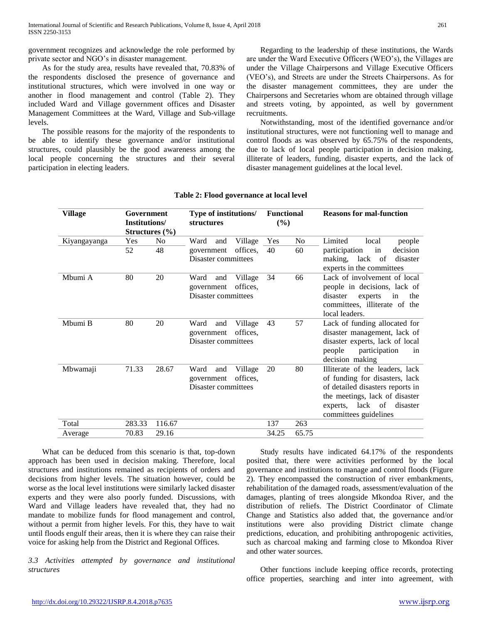government recognizes and acknowledge the role performed by private sector and NGO's in disaster management.

 As for the study area, results have revealed that, 70.83% of the respondents disclosed the presence of governance and institutional structures, which were involved in one way or another in flood management and control (Table 2). They included Ward and Village government offices and Disaster Management Committees at the Ward, Village and Sub-village levels.

 The possible reasons for the majority of the respondents to be able to identify these governance and/or institutional structures, could plausibly be the good awareness among the local people concerning the structures and their several participation in electing leaders.

 Regarding to the leadership of these institutions, the Wards are under the Ward Executive Officers (WEO's), the Villages are under the Village Chairpersons and Village Executive Officers (VEO's), and Streets are under the Streets Chairpersons. As for the disaster management committees, they are under the Chairpersons and Secretaries whom are obtained through village and streets voting, by appointed, as well by government recruitments.

 Notwithstanding, most of the identified governance and/or institutional structures, were not functioning well to manage and control floods as was observed by 65.75% of the respondents, due to lack of local people participation in decision making, illiterate of leaders, funding, disaster experts, and the lack of disaster management guidelines at the local level.

| Village      | Government<br>Institutions/ | Structures $(\% )$ | Type of institutions/<br><b>structures</b>                                                  | <b>Functional</b><br>(%) |                | <b>Reasons for mal-function</b>                                                                                                                                                               |  |  |
|--------------|-----------------------------|--------------------|---------------------------------------------------------------------------------------------|--------------------------|----------------|-----------------------------------------------------------------------------------------------------------------------------------------------------------------------------------------------|--|--|
| Kiyangayanga | Yes                         | No                 | Ward<br>and<br>Village                                                                      | Yes                      | N <sub>o</sub> | Limited<br>local<br>people                                                                                                                                                                    |  |  |
|              | 52                          | 48                 | offices.<br>60<br>40<br>participation<br>in<br>government<br>Disaster committees<br>making, |                          |                | decision<br>lack of<br>disaster<br>experts in the committees                                                                                                                                  |  |  |
| Mbumi A      | 80                          | 20                 | Ward<br>Village<br>and<br>offices.<br>government<br>Disaster committees                     | 34                       | 66             | Lack of involvement of local<br>people in decisions, lack of<br>disaster<br>experts<br>the<br>in<br>committees, illiterate of the<br>local leaders.                                           |  |  |
| Mbumi B      | 80                          | 20                 | Ward<br>Village<br>and<br>offices,<br>government<br>Disaster committees                     | 43                       | 57             | Lack of funding allocated for<br>disaster management, lack of<br>disaster experts, lack of local<br>people<br>participation<br>in<br>decision making                                          |  |  |
| Mbwamaji     | 71.33                       | 28.67              | Village<br>Ward<br>and<br>offices,<br>government<br>Disaster committees                     | 20                       | 80             | Illiterate of the leaders, lack<br>of funding for disasters, lack<br>of detailed disasters reports in<br>the meetings, lack of disaster<br>experts, lack of disaster<br>committees guidelines |  |  |
| Total        | 283.33                      | 116.67             |                                                                                             | 137                      | 263            |                                                                                                                                                                                               |  |  |
| Average      | 70.83                       | 29.16              |                                                                                             | 34.25                    | 65.75          |                                                                                                                                                                                               |  |  |

## **Table 2: Flood governance at local level**

 What can be deduced from this scenario is that, top-down approach has been used in decision making. Therefore, local structures and institutions remained as recipients of orders and decisions from higher levels. The situation however, could be worse as the local level institutions were similarly lacked disaster experts and they were also poorly funded. Discussions, with Ward and Village leaders have revealed that, they had no mandate to mobilize funds for flood management and control, without a permit from higher levels. For this, they have to wait until floods engulf their areas, then it is where they can raise their voice for asking help from the District and Regional Offices.

*3.3 Activities attempted by governance and institutional structures* 

 Study results have indicated 64.17% of the respondents posited that, there were activities performed by the local governance and institutions to manage and control floods (Figure 2). They encompassed the construction of river embankments, rehabilitation of the damaged roads, assessment/evaluation of the damages, planting of trees alongside Mkondoa River, and the distribution of reliefs. The District Coordinator of Climate Change and Statistics also added that, the governance and/or institutions were also providing District climate change predictions, education, and prohibiting anthropogenic activities, such as charcoal making and farming close to Mkondoa River and other water sources.

 Other functions include keeping office records, protecting office properties, searching and inter into agreement, with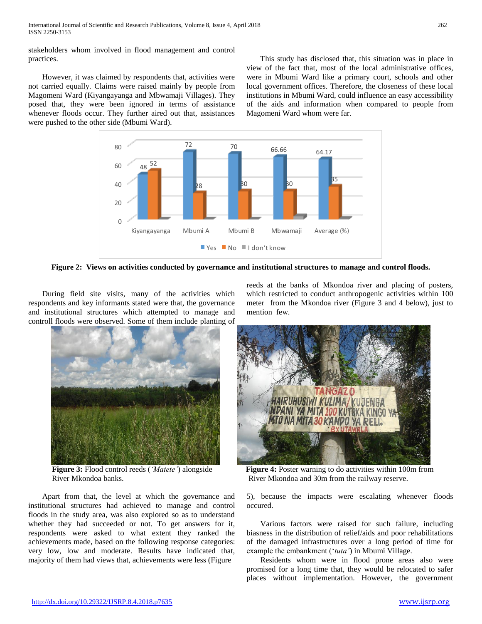stakeholders whom involved in flood management and control practices.

 However, it was claimed by respondents that, activities were not carried equally. Claims were raised mainly by people from Magomeni Ward (Kiyangayanga and Mbwamaji Villages). They posed that, they were been ignored in terms of assistance whenever floods occur. They further aired out that, assistances were pushed to the other side (Mbumi Ward).

 This study has disclosed that, this situation was in place in view of the fact that, most of the local administrative offices, were in Mbumi Ward like a primary court, schools and other local government offices. Therefore, the closeness of these local institutions in Mbumi Ward, could influence an easy accessibility of the aids and information when compared to people from Magomeni Ward whom were far.



**Figure 2: Views on activities conducted by governance and institutional structures to manage and control floods.**

 During field site visits, many of the activities which respondents and key informants stated were that, the governance and institutional structures which attempted to manage and controll floods were observed. Some of them include planting of



River Mkondoa banks.

 Apart from that, the level at which the governance and institutional structures had achieved to manage and control floods in the study area, was also explored so as to understand whether they had succeeded or not. To get answers for it, respondents were asked to what extent they ranked the achievements made, based on the following response categories: very low, low and moderate. Results have indicated that, majority of them had views that, achievements were less (Figure

reeds at the banks of Mkondoa river and placing of posters, which restricted to conduct anthropogenic activities within 100 meter from the Mkondoa river (Figure 3 and 4 below), just to mention few.



**Figure 3:** Flood control reeds (*'Matete'*) alongside **Figure 4:** Poster warning to do activities within 100m from River Mkondoa and 30m from the railway reserve.

5), because the impacts were escalating whenever floods occured.

 Various factors were raised for such failure, including biasness in the distribution of relief/aids and poor rehabilitations of the damaged infrastructures over a long period of time for example the embankment ('*tuta'*) in Mbumi Village.

 Residents whom were in flood prone areas also were promised for a long time that, they would be relocated to safer places without implementation. However, the government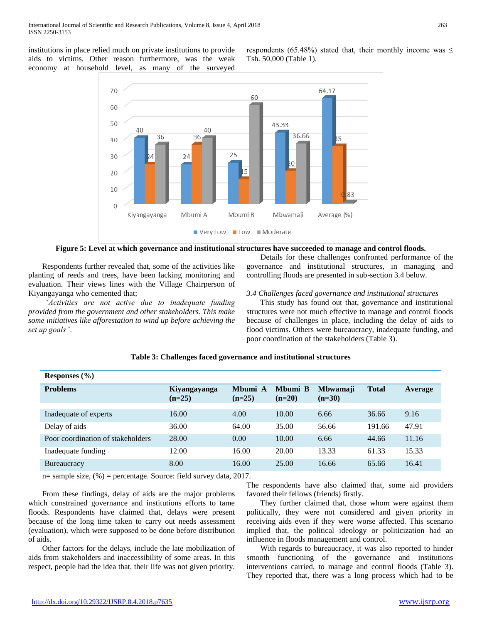institutions in place relied much on private institutions to provide aids to victims. Other reason furthermore, was the weak economy at household level, as many of the surveyed

respondents (65.48%) stated that, their monthly income was  $\leq$ Tsh. 50,000 (Table 1).



**Figure 5: Level at which governance and institutional structures have succeeded to manage and control floods.**

 Respondents further revealed that, some of the activities like planting of reeds and trees, have been lacking monitoring and evaluation. Their views lines with the Village Chairperson of Kiyangayanga who cemented that;

 *"Activities are not active due to inadequate funding provided from the government and other stakeholders. This make some initiatives like afforestation to wind up before achieving the set up goals".*

 Details for these challenges confronted performance of the governance and institutional structures, in managing and controlling floods are presented in sub-section 3.4 below.

## *3.4 Challenges faced governance and institutional structures*

 This study has found out that, governance and institutional structures were not much effective to manage and control floods because of challenges in place, including the delay of aids to flood victims. Others were bureaucracy, inadequate funding, and poor coordination of the stakeholders (Table 3).

| Responses $(\% )$                 |                          |                     |                     |                             |              |         |
|-----------------------------------|--------------------------|---------------------|---------------------|-----------------------------|--------------|---------|
| <b>Problems</b>                   | Kiyangayanga<br>$(n=25)$ | Mbumi A<br>$(n=25)$ | Mbumi B<br>$(n=20)$ | <b>Mbwamaji</b><br>$(n=30)$ | <b>Total</b> | Average |
|                                   | 16.00                    | 4.00                | 10.00               | 6.66                        |              |         |
| Inadequate of experts             |                          |                     |                     |                             | 36.66        | 9.16    |
| Delay of aids                     | 36.00                    | 64.00               | 35.00               | 56.66                       | 191.66       | 47.91   |
| Poor coordination of stakeholders | 28.00                    | 0.00                | 10.00               | 6.66                        | 44.66        | 11.16   |
| Inadequate funding                | 12.00                    | 16.00               | 20.00               | 13.33                       | 61.33        | 15.33   |
| <b>Bureaucracy</b>                | 8.00                     | 16.00               | 25.00               | 16.66                       | 65.66        | 16.41   |

#### **Table 3: Challenges faced governance and institutional structures**

n= sample size, (%) = percentage. Source: field survey data, 2017.

 From these findings, delay of aids are the major problems which constrained governance and institutions efforts to tame floods. Respondents have claimed that, delays were present because of the long time taken to carry out needs assessment (evaluation), which were supposed to be done before distribution of aids.

 Other factors for the delays, include the late mobilization of aids from stakeholders and inaccessibility of some areas. In this respect, people had the idea that, their life was not given priority. The respondents have also claimed that, some aid providers favored their fellows (friends) firstly.

 They further claimed that, those whom were against them politically, they were not considered and given priority in receiving aids even if they were worse affected. This scenario implied that, the political ideology or politicization had an influence in floods management and control.

 With regards to bureaucracy, it was also reported to hinder smooth functioning of the governance and institutions interventions carried, to manage and control floods (Table 3). They reported that, there was a long process which had to be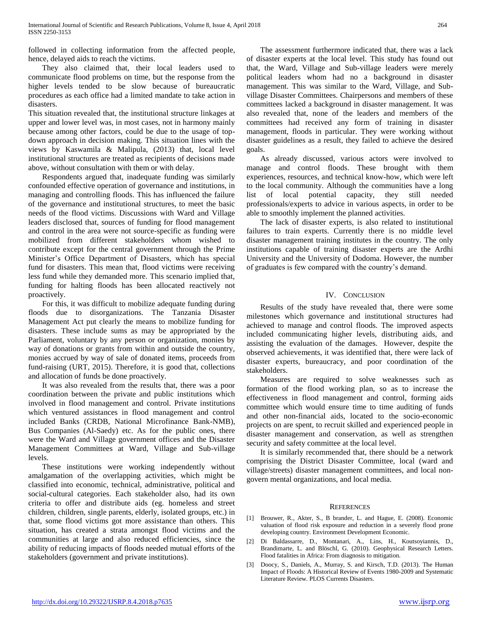followed in collecting information from the affected people, hence, delayed aids to reach the victims.

 They also claimed that, their local leaders used to communicate flood problems on time, but the response from the higher levels tended to be slow because of bureaucratic procedures as each office had a limited mandate to take action in disasters.

This situation revealed that, the institutional structure linkages at upper and lower level was, in most cases, not in harmony mainly because among other factors, could be due to the usage of topdown approach in decision making. This situation lines with the views by Kaswamila & Malipula, (2013) that, local level institutional structures are treated as recipients of decisions made above, without consultation with them or with delay.

 Respondents argued that, inadequate funding was similarly confounded effective operation of governance and institutions, in managing and controlling floods. This has influenced the failure of the governance and institutional structures, to meet the basic needs of the flood victims. Discussions with Ward and Village leaders disclosed that, sources of funding for flood management and control in the area were not source-specific as funding were mobilized from different stakeholders whom wished to contribute except for the central government through the Prime Minister's Office Department of Disasters, which has special fund for disasters. This mean that, flood victims were receiving less fund while they demanded more. This scenario implied that, funding for halting floods has been allocated reactively not proactively.

 For this, it was difficult to mobilize adequate funding during floods due to disorganizations. The Tanzania Disaster Management Act put clearly the means to mobilize funding for disasters. These include sums as may be appropriated by the Parliament, voluntary by any person or organization, monies by way of donations or grants from within and outside the country, monies accrued by way of sale of donated items, proceeds from fund-raising (URT, 2015). Therefore, it is good that, collections and allocation of funds be done proactively.

 It was also revealed from the results that, there was a poor coordination between the private and public institutions which involved in flood management and control. Private institutions which ventured assistances in flood management and control included Banks (CRDB, National Microfinance Bank-NMB), Bus Companies (Al-Saedy) etc. As for the public ones, there were the Ward and Village government offices and the Disaster Management Committees at Ward, Village and Sub-village levels.

 These institutions were working independently without amalgamation of the overlapping activities, which might be classified into economic, technical, administrative, political and social-cultural categories. Each stakeholder also, had its own criteria to offer and distribute aids (eg. homeless and street children, children, single parents, elderly, isolated groups, etc.) in that, some flood victims got more assistance than others. This situation, has created a strata amongst flood victims and the communities at large and also reduced efficiencies, since the ability of reducing impacts of floods needed mutual efforts of the stakeholders (government and private institutions).

 The assessment furthermore indicated that, there was a lack of disaster experts at the local level. This study has found out that, the Ward, Village and Sub-village leaders were merely political leaders whom had no a background in disaster management. This was similar to the Ward, Village, and Subvillage Disaster Committees. Chairpersons and members of these committees lacked a background in disaster management. It was also revealed that, none of the leaders and members of the committees had received any form of training in disaster management, floods in particular. They were working without disaster guidelines as a result, they failed to achieve the desired goals.

 As already discussed, various actors were involved to manage and control floods. These brought with them experiences, resources, and technical know-how, which were left to the local community. Although the communities have a long list of local potential capacity, they still needed professionals/experts to advice in various aspects, in order to be able to smoothly implement the planned activities.

 The lack of disaster experts, is also related to institutional failures to train experts. Currently there is no middle level disaster management training institutes in the country. The only institutions capable of training disaster experts are the Ardhi University and the University of Dodoma. However, the number of graduates is few compared with the country's demand.

# IV. CONCLUSION

 Results of the study have revealed that, there were some milestones which governance and institutional structures had achieved to manage and control floods. The improved aspects included communicating higher levels, distributing aids, and assisting the evaluation of the damages. However, despite the observed achievements, it was identified that, there were lack of disaster experts, bureaucracy, and poor coordination of the stakeholders.

 Measures are required to solve weaknesses such as formation of the flood working plan, so as to increase the effectiveness in flood management and control, forming aids committee which would ensure time to time auditing of funds and other non-financial aids, located to the socio-economic projects on are spent, to recruit skilled and experienced people in disaster management and conservation, as well as strengthen security and safety committee at the local level.

 It is similarly recommended that, there should be a network comprising the District Disaster Committee, local (ward and village/streets) disaster management committees, and local nongovern mental organizations, and local media.

## **REFERENCES**

- [1] Brouwer, R., Akter, S., B brander, L. and Hague, E. (2008). Economic valuation of flood risk exposure and reduction in a severely flood prone developing country. Environment Development Economic.
- [2] Di Baldassarre, D., Montanari, A., Lins, H., Koutsoyiannis, D., Brandimarte, L. and Blöschl, G. (2010). Geophysical Research Letters. Flood fatalities in Africa: From diagnosis to mitigation.
- [3] Doocy, S., Daniels, A., Murray, S. and Kirsch, T.D. (2013). The Human Impact of Floods: A Historical Review of Events 1980-2009 and Systematic Literature Review. PLOS Currents Disasters.